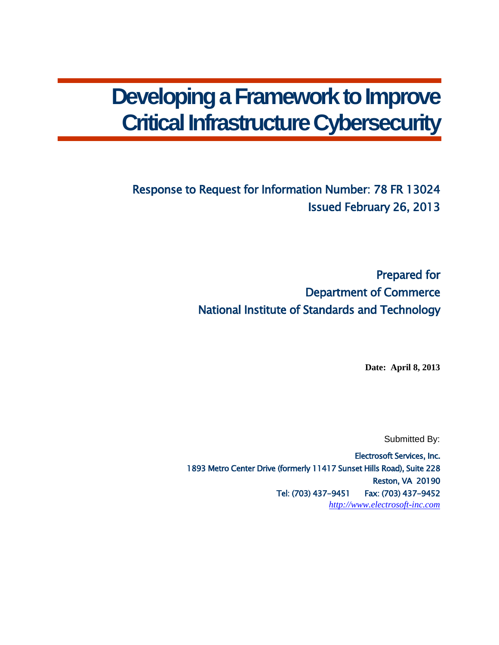# **Developing a Framework to Improve Critical Infrastructure Cybersecurity**

# Response to Request for Information Number: 78 FR 13024 Issued February 26, 2013

Prepared for Department of Commerce National Institute of Standards and Technology

**Date: April 8, 2013**

Submitted By:

Electrosoft Services, Inc. 1893 Metro Center Drive (formerly 11417 Sunset Hills Road), Suite 228 Reston, VA 20190 Tel: (703) 437-9451 Fax: (703) 437-9452 *[http://www.electrosoft-inc.com](http://www.electrosoft-inc.com/)*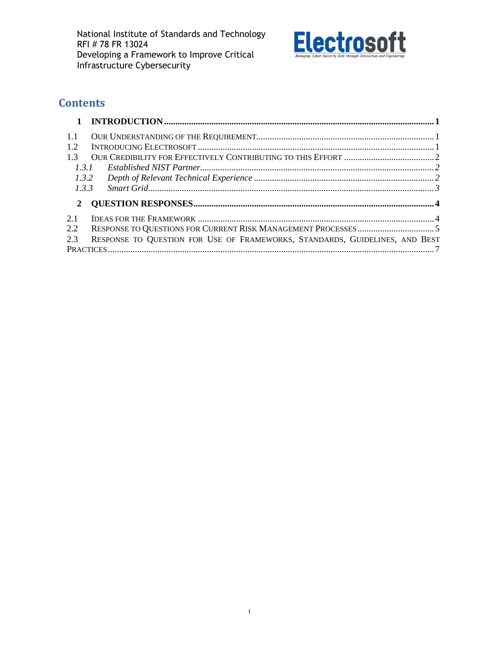

# **Contents**

| 1.1   |                                                                             |  |
|-------|-----------------------------------------------------------------------------|--|
| 1.2   |                                                                             |  |
| 13    |                                                                             |  |
| 1.3.1 |                                                                             |  |
| 1.3.2 |                                                                             |  |
| 1.3.3 |                                                                             |  |
| 2     |                                                                             |  |
| 2.1   |                                                                             |  |
| 2.2   |                                                                             |  |
| 2.3   | RESPONSE TO QUESTION FOR USE OF FRAMEWORKS, STANDARDS, GUIDELINES, AND BEST |  |
|       |                                                                             |  |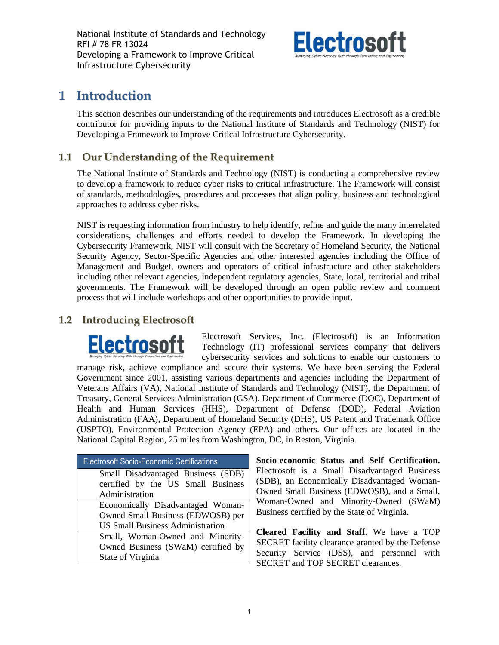National Institute of Standards and Technology RFI # 78 FR 13024 Developing a Framework to Improve Critical Infrastructure Cybersecurity



# <span id="page-2-0"></span>**1 Introduction**

This section describes our understanding of the requirements and introduces Electrosoft as a credible contributor for providing inputs to the National Institute of Standards and Technology (NIST) for Developing a Framework to Improve Critical Infrastructure Cybersecurity.

## <span id="page-2-1"></span>**1.1 Our Understanding of the Requirement**

The National Institute of Standards and Technology (NIST) is conducting a comprehensive review to develop a framework to reduce cyber risks to critical infrastructure. The Framework will consist of standards, methodologies, procedures and processes that align policy, business and technological approaches to address cyber risks.

NIST is requesting information from industry to help identify, refine and guide the many interrelated considerations, challenges and efforts needed to develop the Framework. In developing the Cybersecurity Framework, NIST will consult with the Secretary of Homeland Security, the National Security Agency, Sector-Specific Agencies and other interested agencies including the Office of Management and Budget, owners and operators of critical infrastructure and other stakeholders including other relevant agencies, independent regulatory agencies, State, local, territorial and tribal governments. The Framework will be developed through an open public review and comment process that will include workshops and other opportunities to provide input.

### <span id="page-2-2"></span>**1.2 Introducing Electrosoft**

Electrosoft Services, Inc. (Electrosoft) is an Information **Electrosoft** Technology (IT) professional services company that delivers cybersecurity services and solutions to enable our customers to manage risk, achieve compliance and secure their systems. We have been serving the Federal Government since 2001, assisting various departments and agencies including the Department of Veterans Affairs (VA), National Institute of Standards and Technology (NIST), the Department of Treasury, General Services Administration (GSA), Department of Commerce (DOC), Department of Health and Human Services (HHS), Department of Defense (DOD), Federal Aviation Administration (FAA), Department of Homeland Security (DHS), US Patent and Trademark Office (USPTO), Environmental Protection Agency (EPA) and others. Our offices are located in the National Capital Region, 25 miles from Washington, DC, in Reston, Virginia.

| <b>Electrosoft Socio-Economic Certifications</b> |
|--------------------------------------------------|
| Small Disadvantaged Business (SDB)               |
| certified by the US Small Business               |
| Administration                                   |
| Economically Disadvantaged Woman-                |
| Owned Small Business (EDWOSB) per                |
| <b>US Small Business Administration</b>          |
| Small, Woman-Owned and Minority-                 |
| Owned Business (SWaM) certified by               |
| State of Virginia                                |

**Socio-economic Status and Self Certification.**  Electrosoft is a Small Disadvantaged Business (SDB), an Economically Disadvantaged Woman-Owned Small Business (EDWOSB), and a Small, Woman-Owned and Minority-Owned (SWaM) Business certified by the State of Virginia.

**Cleared Facility and Staff.** We have a TOP SECRET facility clearance granted by the Defense Security Service (DSS), and personnel with SECRET and TOP SECRET clearances.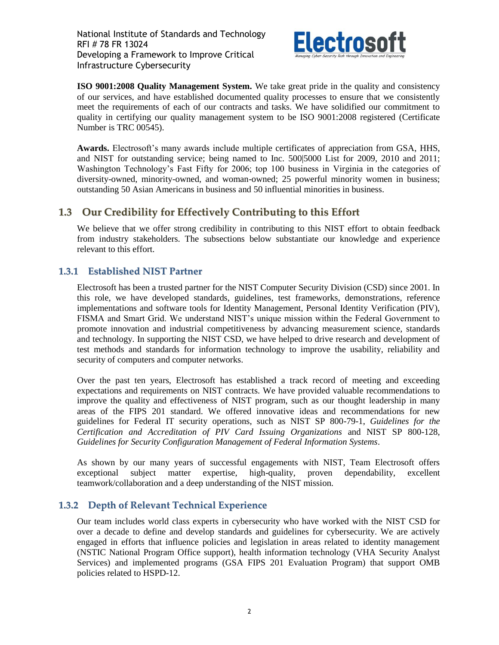

**ISO 9001:2008 Quality Management System.** We take great pride in the quality and consistency of our services, and have established documented quality processes to ensure that we consistently meet the requirements of each of our contracts and tasks. We have solidified our commitment to quality in certifying our quality management system to be ISO 9001:2008 registered (Certificate Number is TRC 00545).

**Awards.** Electrosoft's many awards include multiple certificates of appreciation from GSA, HHS, and NIST for outstanding service; being named to Inc. 500|5000 List for 2009, 2010 and 2011; Washington Technology's Fast Fifty for 2006; top 100 business in Virginia in the categories of diversity-owned, minority-owned, and woman-owned; 25 powerful minority women in business; outstanding 50 Asian Americans in business and 50 influential minorities in business.

### <span id="page-3-0"></span>**1.3 Our Credibility for Effectively Contributing to this Effort**

We believe that we offer strong credibility in contributing to this NIST effort to obtain feedback from industry stakeholders. The subsections below substantiate our knowledge and experience relevant to this effort.

### <span id="page-3-1"></span>**1.3.1 Established NIST Partner**

Electrosoft has been a trusted partner for the NIST Computer Security Division (CSD) since 2001. In this role, we have developed standards, guidelines, test frameworks, demonstrations, reference implementations and software tools for Identity Management, Personal Identity Verification (PIV), FISMA and Smart Grid. We understand NIST's unique mission within the Federal Government to promote innovation and industrial competitiveness by advancing measurement science, standards and technology. In supporting the NIST CSD, we have helped to drive research and development of test methods and standards for information technology to improve the usability, reliability and security of computers and computer networks.

Over the past ten years, Electrosoft has established a track record of meeting and exceeding expectations and requirements on NIST contracts. We have provided valuable recommendations to improve the quality and effectiveness of NIST program, such as our thought leadership in many areas of the FIPS 201 standard. We offered innovative ideas and recommendations for new guidelines for Federal IT security operations, such as NIST SP 800-79-1, *Guidelines for the Certification and Accreditation of PIV Card Issuing Organizations* and NIST SP 800-128, *Guidelines for Security Configuration Management of Federal Information Systems*.

As shown by our many years of successful engagements with NIST, Team Electrosoft offers exceptional subject matter expertise, high-quality, proven dependability, excellent teamwork/collaboration and a deep understanding of the NIST mission.

### <span id="page-3-2"></span>**1.3.2 Depth of Relevant Technical Experience**

Our team includes world class experts in cybersecurity who have worked with the NIST CSD for over a decade to define and develop standards and guidelines for cybersecurity. We are actively engaged in efforts that influence policies and legislation in areas related to identity management (NSTIC National Program Office support), health information technology (VHA Security Analyst Services) and implemented programs (GSA FIPS 201 Evaluation Program) that support OMB policies related to HSPD-12.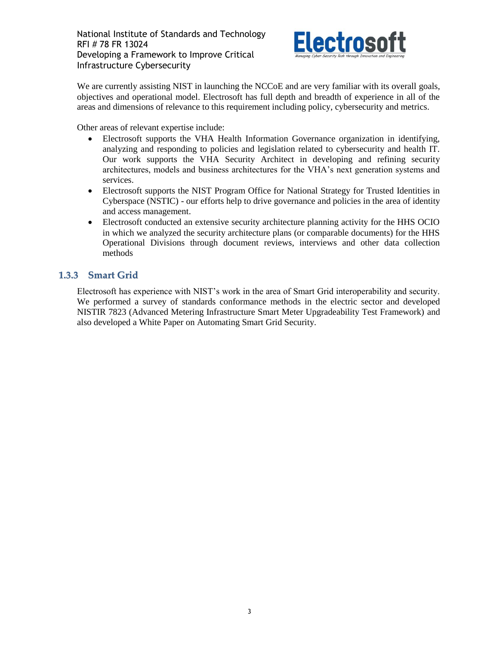

We are currently assisting NIST in launching the NCCoE and are very familiar with its overall goals, objectives and operational model. Electrosoft has full depth and breadth of experience in all of the areas and dimensions of relevance to this requirement including policy, cybersecurity and metrics.

Other areas of relevant expertise include:

- Electrosoft supports the VHA Health Information Governance organization in identifying, analyzing and responding to policies and legislation related to cybersecurity and health IT. Our work supports the VHA Security Architect in developing and refining security architectures, models and business architectures for the VHA's next generation systems and services.
- Electrosoft supports the NIST Program Office for National Strategy for Trusted Identities in Cyberspace (NSTIC) - our efforts help to drive governance and policies in the area of identity and access management.
- Electrosoft conducted an extensive security architecture planning activity for the HHS OCIO in which we analyzed the security architecture plans (or comparable documents) for the HHS Operational Divisions through document reviews, interviews and other data collection methods

### <span id="page-4-0"></span>**1.3.3 Smart Grid**

Electrosoft has experience with NIST's work in the area of Smart Grid interoperability and security. We performed a survey of standards conformance methods in the electric sector and developed NISTIR 7823 (Advanced Metering Infrastructure Smart Meter Upgradeability Test Framework) and also developed a White Paper on Automating Smart Grid Security.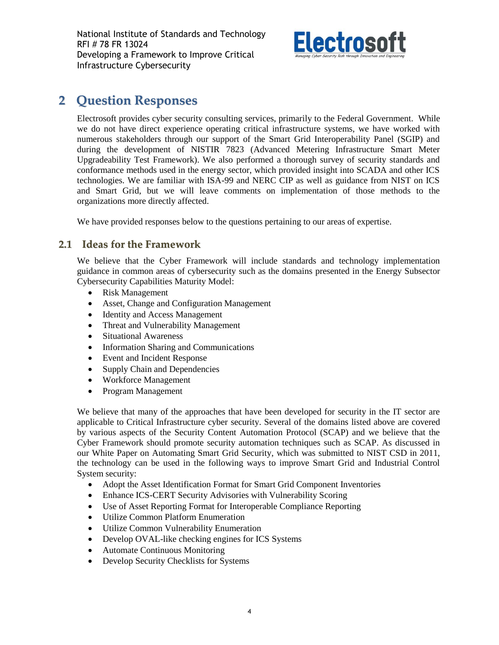National Institute of Standards and Technology RFI # 78 FR 13024 Developing a Framework to Improve Critical Infrastructure Cybersecurity



# <span id="page-5-0"></span>**2 Question Responses**

Electrosoft provides cyber security consulting services, primarily to the Federal Government. While we do not have direct experience operating critical infrastructure systems, we have worked with numerous stakeholders through our support of the Smart Grid Interoperability Panel (SGIP) and during the development of NISTIR 7823 (Advanced Metering Infrastructure Smart Meter Upgradeability Test Framework). We also performed a thorough survey of security standards and conformance methods used in the energy sector, which provided insight into SCADA and other ICS technologies. We are familiar with ISA-99 and NERC CIP as well as guidance from NIST on ICS and Smart Grid, but we will leave comments on implementation of those methods to the organizations more directly affected.

We have provided responses below to the questions pertaining to our areas of expertise.

### <span id="page-5-1"></span>**2.1 Ideas for the Framework**

We believe that the Cyber Framework will include standards and technology implementation guidance in common areas of cybersecurity such as the domains presented in the Energy Subsector Cybersecurity Capabilities Maturity Model:

- Risk Management
- Asset, Change and Configuration Management
- Identity and Access Management
- Threat and Vulnerability Management
- Situational Awareness
- Information Sharing and Communications
- Event and Incident Response
- Supply Chain and Dependencies
- Workforce Management
- Program Management

We believe that many of the approaches that have been developed for security in the IT sector are applicable to Critical Infrastructure cyber security. Several of the domains listed above are covered by various aspects of the Security Content Automation Protocol (SCAP) and we believe that the Cyber Framework should promote security automation techniques such as SCAP. As discussed in our White Paper on Automating Smart Grid Security, which was submitted to NIST CSD in 2011, the technology can be used in the following ways to improve Smart Grid and Industrial Control System security:

- Adopt the Asset Identification Format for Smart Grid Component Inventories
- Enhance ICS-CERT Security Advisories with Vulnerability Scoring
- Use of Asset Reporting Format for Interoperable Compliance Reporting
- Utilize Common Platform Enumeration
- Utilize Common Vulnerability Enumeration
- Develop OVAL-like checking engines for ICS Systems
- Automate Continuous Monitoring
- Develop Security Checklists for Systems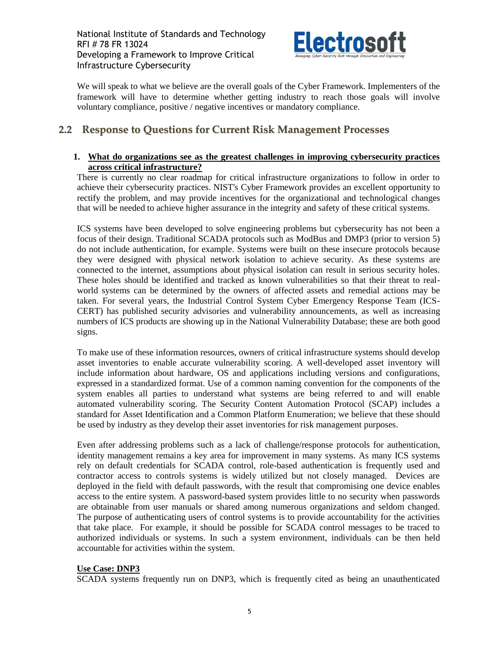

We will speak to what we believe are the overall goals of the Cyber Framework. Implementers of the framework will have to determine whether getting industry to reach those goals will involve voluntary compliance, positive / negative incentives or mandatory compliance.

### <span id="page-6-0"></span>**2.2 Response to Questions for Current Risk Management Processes**

### **1. What do organizations see as the greatest challenges in improving cybersecurity practices across critical infrastructure?**

There is currently no clear roadmap for critical infrastructure organizations to follow in order to achieve their cybersecurity practices. NIST's Cyber Framework provides an excellent opportunity to rectify the problem, and may provide incentives for the organizational and technological changes that will be needed to achieve higher assurance in the integrity and safety of these critical systems.

ICS systems have been developed to solve engineering problems but cybersecurity has not been a focus of their design. Traditional SCADA protocols such as ModBus and DMP3 (prior to version 5) do not include authentication, for example. Systems were built on these insecure protocols because they were designed with physical network isolation to achieve security. As these systems are connected to the internet, assumptions about physical isolation can result in serious security holes. These holes should be identified and tracked as known vulnerabilities so that their threat to realworld systems can be determined by the owners of affected assets and remedial actions may be taken. For several years, the Industrial Control System Cyber Emergency Response Team (ICS-CERT) has published security advisories and vulnerability announcements, as well as increasing numbers of ICS products are showing up in the National Vulnerability Database; these are both good signs.

To make use of these information resources, owners of critical infrastructure systems should develop asset inventories to enable accurate vulnerability scoring. A well-developed asset inventory will include information about hardware, OS and applications including versions and configurations, expressed in a standardized format. Use of a common naming convention for the components of the system enables all parties to understand what systems are being referred to and will enable automated vulnerability scoring. The Security Content Automation Protocol (SCAP) includes a standard for Asset Identification and a Common Platform Enumeration; we believe that these should be used by industry as they develop their asset inventories for risk management purposes.

Even after addressing problems such as a lack of challenge/response protocols for authentication, identity management remains a key area for improvement in many systems. As many ICS systems rely on default credentials for SCADA control, role-based authentication is frequently used and contractor access to controls systems is widely utilized but not closely managed. Devices are deployed in the field with default passwords, with the result that compromising one device enables access to the entire system. A password-based system provides little to no security when passwords are obtainable from user manuals or shared among numerous organizations and seldom changed. The purpose of authenticating users of control systems is to provide accountability for the activities that take place. For example, it should be possible for SCADA control messages to be traced to authorized individuals or systems. In such a system environment, individuals can be then held accountable for activities within the system.

### **Use Case: DNP3**

SCADA systems frequently run on DNP3, which is frequently cited as being an unauthenticated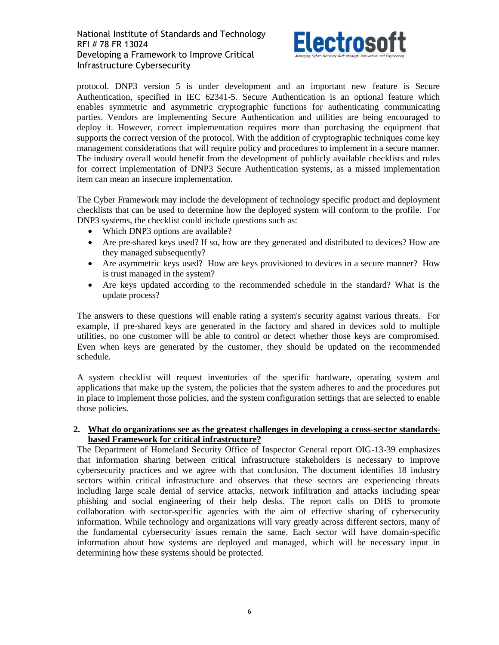

protocol. DNP3 version 5 is under development and an important new feature is Secure Authentication, specified in IEC 62341-5. Secure Authentication is an optional feature which enables symmetric and asymmetric cryptographic functions for authenticating communicating parties. Vendors are implementing Secure Authentication and utilities are being encouraged to deploy it. However, correct implementation requires more than purchasing the equipment that supports the correct version of the protocol. With the addition of cryptographic techniques come key management considerations that will require policy and procedures to implement in a secure manner. The industry overall would benefit from the development of publicly available checklists and rules for correct implementation of DNP3 Secure Authentication systems, as a missed implementation item can mean an insecure implementation.

The Cyber Framework may include the development of technology specific product and deployment checklists that can be used to determine how the deployed system will conform to the profile. For DNP3 systems, the checklist could include questions such as:

- Which DNP3 options are available?
- Are pre-shared keys used? If so, how are they generated and distributed to devices? How are they managed subsequently?
- Are asymmetric keys used? How are keys provisioned to devices in a secure manner? How is trust managed in the system?
- Are keys updated according to the recommended schedule in the standard? What is the update process?

The answers to these questions will enable rating a system's security against various threats. For example, if pre-shared keys are generated in the factory and shared in devices sold to multiple utilities, no one customer will be able to control or detect whether those keys are compromised. Even when keys are generated by the customer, they should be updated on the recommended schedule.

A system checklist will request inventories of the specific hardware, operating system and applications that make up the system, the policies that the system adheres to and the procedures put in place to implement those policies, and the system configuration settings that are selected to enable those policies.

### **2. What do organizations see as the greatest challenges in developing a cross-sector standardsbased Framework for critical infrastructure?**

The Department of Homeland Security Office of Inspector General report OIG-13-39 emphasizes that information sharing between critical infrastructure stakeholders is necessary to improve cybersecurity practices and we agree with that conclusion. The document identifies 18 industry sectors within critical infrastructure and observes that these sectors are experiencing threats including large scale denial of service attacks, network infiltration and attacks including spear phishing and social engineering of their help desks. The report calls on DHS to promote collaboration with sector-specific agencies with the aim of effective sharing of cybersecurity information. While technology and organizations will vary greatly across different sectors, many of the fundamental cybersecurity issues remain the same. Each sector will have domain-specific information about how systems are deployed and managed, which will be necessary input in determining how these systems should be protected.